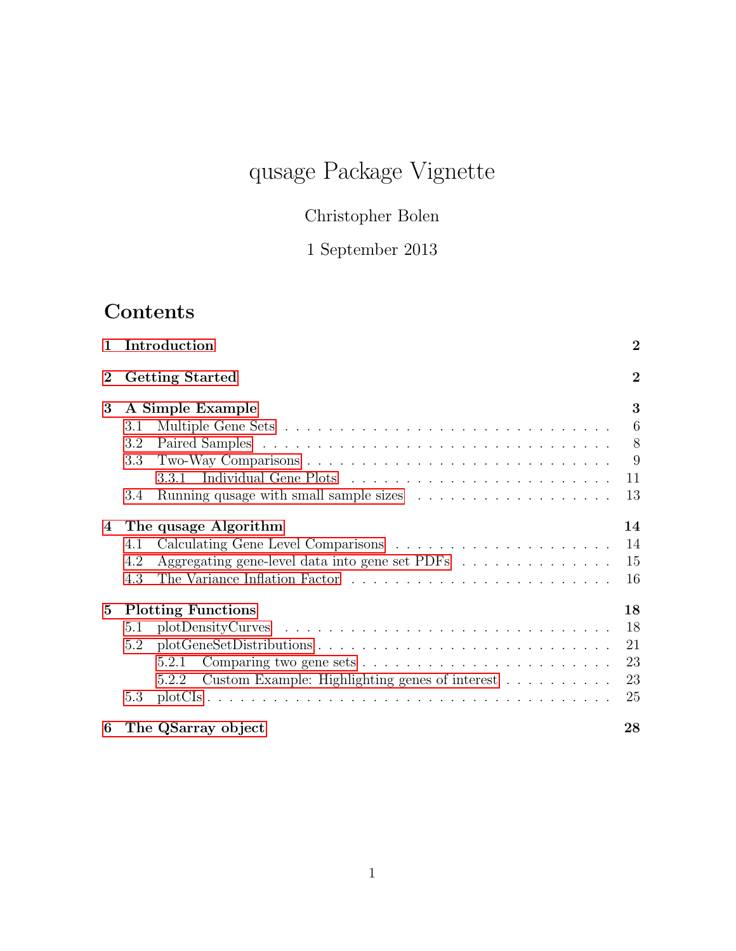# qusage Package Vignette

# Christopher Bolen

# 1 September 2013

# Contents

|                 | 1 Introduction                                                                             | $\overline{2}$ |
|-----------------|--------------------------------------------------------------------------------------------|----------------|
| $\bf{2}$        | <b>Getting Started</b>                                                                     | $\overline{2}$ |
| 3               | A Simple Example                                                                           | 3              |
|                 | 3.1                                                                                        | 6              |
|                 | 3.2                                                                                        | 8              |
|                 | 3.3                                                                                        | 9              |
|                 |                                                                                            | 11             |
|                 | 3.4                                                                                        | 13             |
|                 | 4 The quange Algorithm                                                                     | 14             |
|                 | 4.1                                                                                        | 14             |
|                 | Aggregating gene-level data into gene set PDFs $\ldots \ldots \ldots \ldots \ldots$<br>4.2 | 15             |
|                 | 4.3                                                                                        | 16             |
| $5\overline{ }$ | <b>Plotting Functions</b>                                                                  | 18             |
|                 | 5.1                                                                                        | 18             |
|                 | 5.2                                                                                        | 21             |
|                 | 5.2.1                                                                                      | 23             |
|                 | Custom Example: Highlighting genes of interest<br>5.2.2                                    | 23             |
|                 | 5.3                                                                                        | 25             |
| 6               | The QSarray object                                                                         | 28             |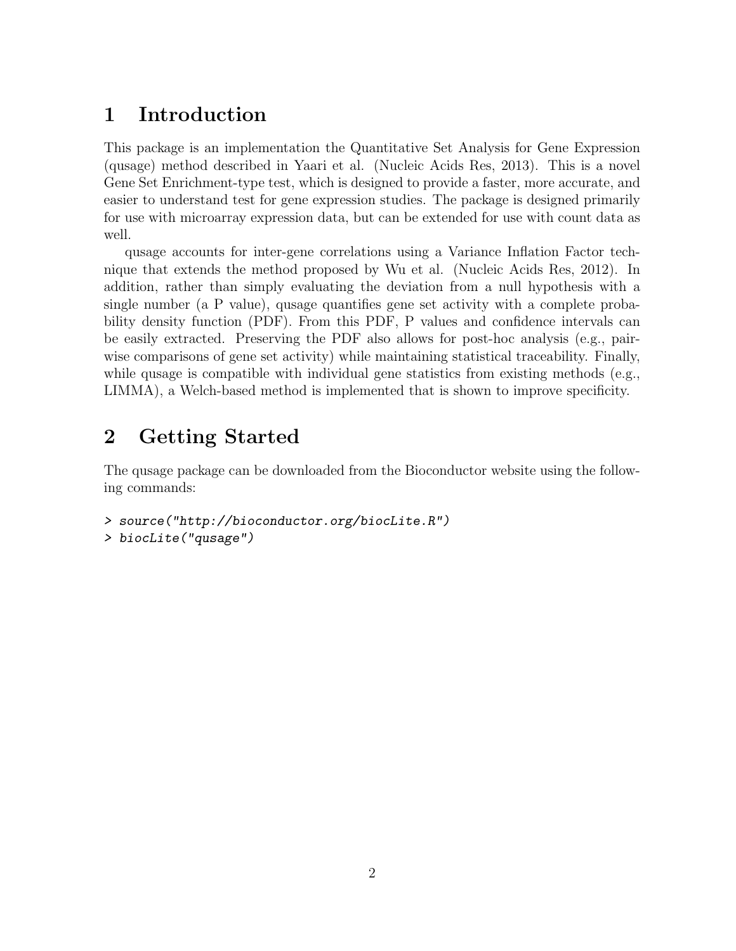# <span id="page-1-0"></span>1 Introduction

This package is an implementation the Quantitative Set Analysis for Gene Expression (qusage) method described in Yaari et al. (Nucleic Acids Res, 2013). This is a novel Gene Set Enrichment-type test, which is designed to provide a faster, more accurate, and easier to understand test for gene expression studies. The package is designed primarily for use with microarray expression data, but can be extended for use with count data as well.

qusage accounts for inter-gene correlations using a Variance Inflation Factor technique that extends the method proposed by Wu et al. (Nucleic Acids Res, 2012). In addition, rather than simply evaluating the deviation from a null hypothesis with a single number (a P value), qusage quantifies gene set activity with a complete probability density function (PDF). From this PDF, P values and confidence intervals can be easily extracted. Preserving the PDF also allows for post-hoc analysis (e.g., pairwise comparisons of gene set activity) while maintaining statistical traceability. Finally, while qusage is compatible with individual gene statistics from existing methods (e.g., LIMMA), a Welch-based method is implemented that is shown to improve specificity.

# <span id="page-1-1"></span>2 Getting Started

The qusage package can be downloaded from the Bioconductor website using the following commands:

```
> source("http://bioconductor.org/biocLite.R")
```

```
> biocLite("qusage")
```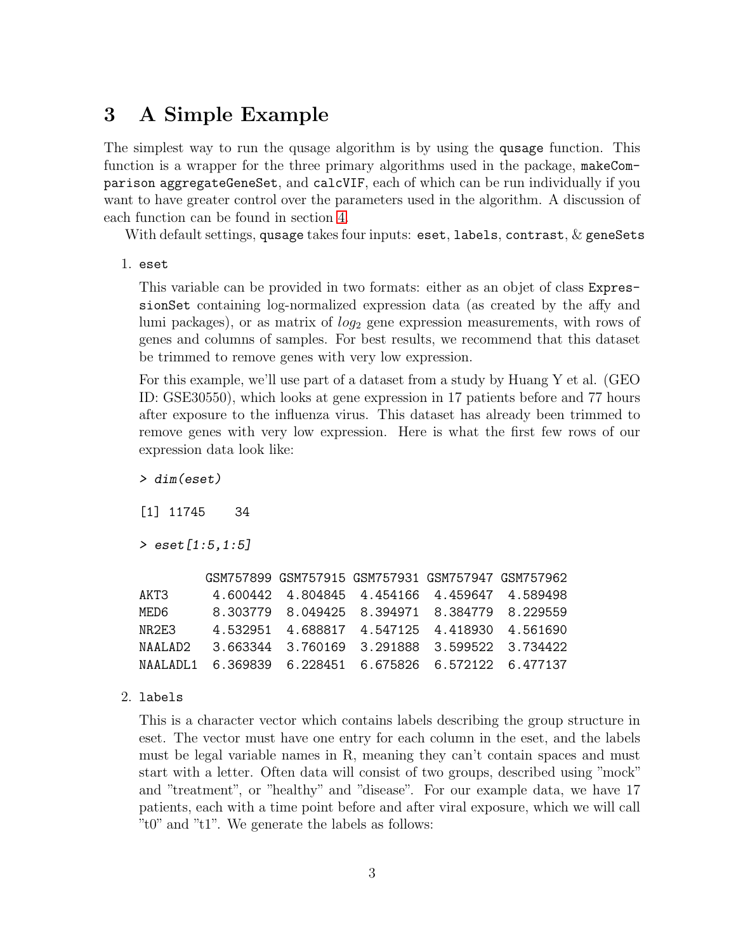## <span id="page-2-0"></span>3 A Simple Example

The simplest way to run the qusage algorithm is by using the qusage function. This function is a wrapper for the three primary algorithms used in the package, makeComparison aggregateGeneSet, and calcVIF, each of which can be run individually if you want to have greater control over the parameters used in the algorithm. A discussion of each function can be found in section [4.](#page-13-0)

With default settings, qusage takes four inputs: eset, labels, contrast,  $\&$  geneSets

1. eset

This variable can be provided in two formats: either as an objet of class ExpressionSet containing log-normalized expression data (as created by the affy and lumi packages), or as matrix of  $log<sub>2</sub>$  gene expression measurements, with rows of genes and columns of samples. For best results, we recommend that this dataset be trimmed to remove genes with very low expression.

For this example, we'll use part of a dataset from a study by Huang Y et al. (GEO ID: GSE30550), which looks at gene expression in 17 patients before and 77 hours after exposure to the influenza virus. This dataset has already been trimmed to remove genes with very low expression. Here is what the first few rows of our expression data look like:

> dim(eset)

[1] 11745 34

> eset[1:5,1:5]

|         |                                                       | GSM757899 GSM757915 GSM757931 GSM757947 GSM757962 |  |
|---------|-------------------------------------------------------|---------------------------------------------------|--|
| AKT3    |                                                       | 4.600442 4.804845 4.454166 4.459647 4.589498      |  |
| MED6    |                                                       | 8.303779 8.049425 8.394971 8.384779 8.229559      |  |
| NR2F3   |                                                       | 4.532951 4.688817 4.547125 4.418930 4.561690      |  |
| NAALAD2 |                                                       | 3.663344 3.760169 3.291888 3.599522 3.734422      |  |
|         | NAALADL1 6.369839 6.228451 6.675826 6.572122 6.477137 |                                                   |  |

2. labels

This is a character vector which contains labels describing the group structure in eset. The vector must have one entry for each column in the eset, and the labels must be legal variable names in R, meaning they can't contain spaces and must start with a letter. Often data will consist of two groups, described using "mock" and "treatment", or "healthy" and "disease". For our example data, we have 17 patients, each with a time point before and after viral exposure, which we will call "t0" and "t1". We generate the labels as follows: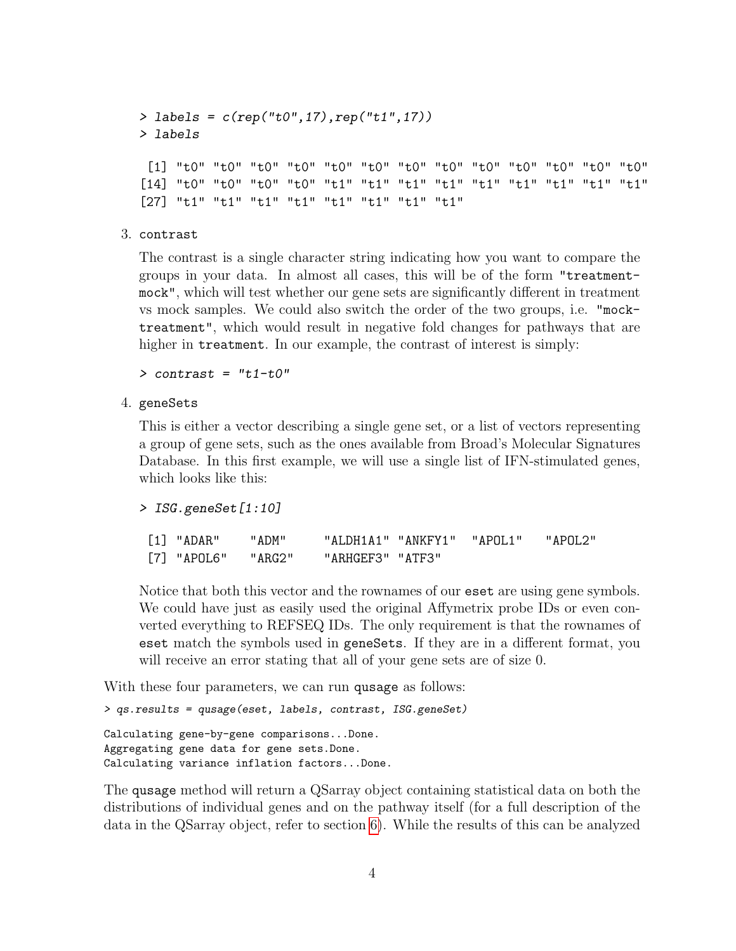```
> labels = c(rep("t0",17),rep("t1",17))
> labels
 [1] "t0" "t0" "t0" "t0" "t0" "t0" "t0" "t0" "t0" "t0" "t0" "t0" "t0"
[14] "t0" "t0" "t0" "t0" "t1" "t1" "t1" "t1" "t1" "t1" "t1" "t1" "t1"
[27] "t1" "t1" "t1" "t1" "t1" "t1" "t1" "t1"
```
3. contrast

The contrast is a single character string indicating how you want to compare the groups in your data. In almost all cases, this will be of the form "treatmentmock", which will test whether our gene sets are significantly different in treatment vs mock samples. We could also switch the order of the two groups, i.e. "mocktreatment", which would result in negative fold changes for pathways that are higher in treatment. In our example, the contrast of interest is simply:

 $>$  contrast =  $"t1-t0"$ 

4. geneSets

This is either a vector describing a single gene set, or a list of vectors representing a group of gene sets, such as the ones available from Broad's Molecular Signatures Database. In this first example, we will use a single list of IFN-stimulated genes, which looks like this:

```
> ISG.geneSet[1:10]
```
[1] "ADAR" "ADM" "ALDH1A1" "ANKFY1" "APOL1" "APOL2" [7] "APOL6" "ARG2" "ARHGEF3" "ATF3"

Notice that both this vector and the rownames of our eset are using gene symbols. We could have just as easily used the original Affymetrix probe IDs or even converted everything to REFSEQ IDs. The only requirement is that the rownames of eset match the symbols used in geneSets. If they are in a different format, you will receive an error stating that all of your gene sets are of size 0.

With these four parameters, we can run quasige as follows:

```
> qs.results = qusage(eset, labels, contrast, ISG.geneSet)
Calculating gene-by-gene comparisons...Done.
Aggregating gene data for gene sets.Done.
Calculating variance inflation factors...Done.
```
The qusage method will return a QSarray object containing statistical data on both the distributions of individual genes and on the pathway itself (for a full description of the data in the QSarray object, refer to section [6\)](#page-27-0). While the results of this can be analyzed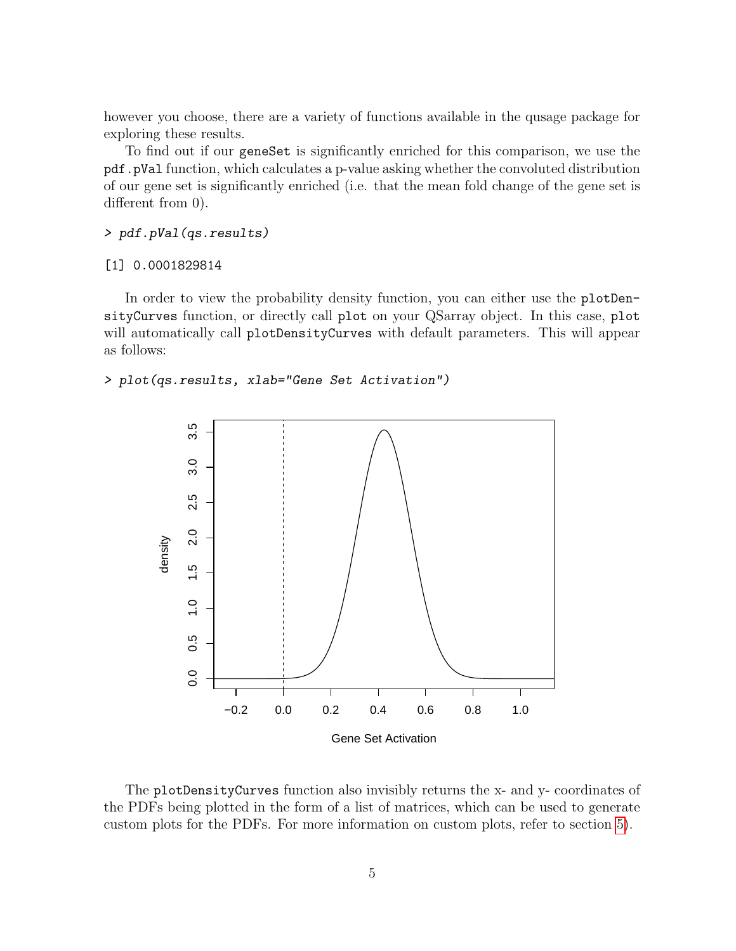however you choose, there are a variety of functions available in the qusage package for exploring these results.

To find out if our geneSet is significantly enriched for this comparison, we use the pdf.pVal function, which calculates a p-value asking whether the convoluted distribution of our gene set is significantly enriched (i.e. that the mean fold change of the gene set is different from 0).

#### > pdf.pVal(qs.results)

#### [1] 0.0001829814

In order to view the probability density function, you can either use the plotDensityCurves function, or directly call plot on your QSarray object. In this case, plot will automatically call plotDensityCurves with default parameters. This will appear as follows:

#### > plot(qs.results, xlab="Gene Set Activation")



The plotDensityCurves function also invisibly returns the x- and y- coordinates of the PDFs being plotted in the form of a list of matrices, which can be used to generate custom plots for the PDFs. For more information on custom plots, refer to section [5\)](#page-17-0).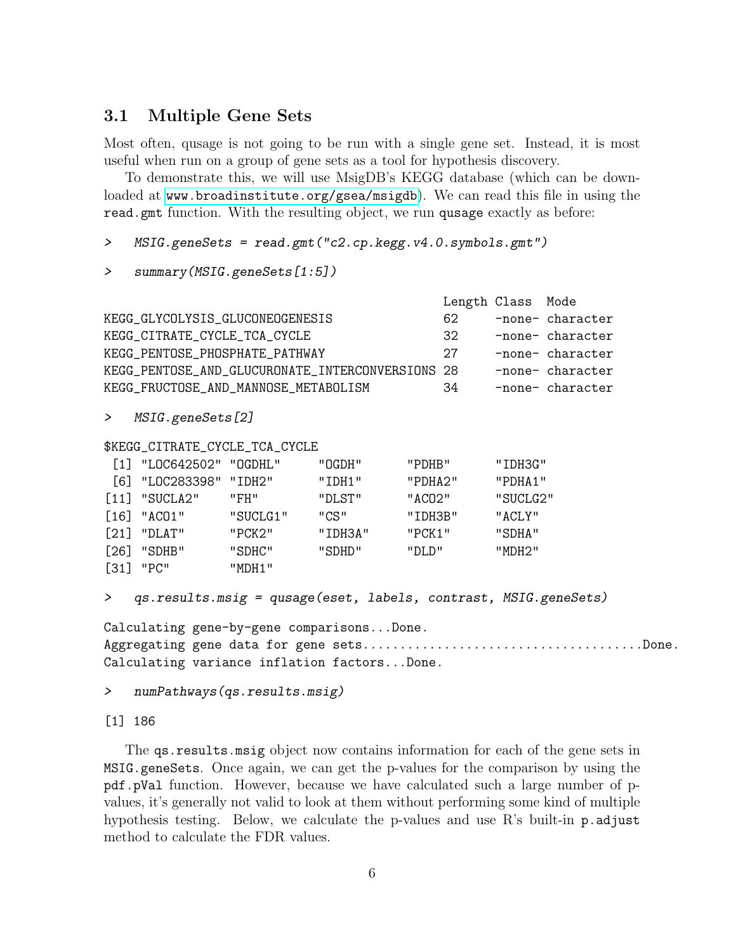#### <span id="page-5-0"></span>3.1 Multiple Gene Sets

Most often, qusage is not going to be run with a single gene set. Instead, it is most useful when run on a group of gene sets as a tool for hypothesis discovery.

To demonstrate this, we will use MsigDB's KEGG database (which can be downloaded at <www.broadinstitute.org/gsea/msigdb>). We can read this file in using the read.gmt function. With the resulting object, we run qusage exactly as before:

```
> MSIG.geneSets = read.gmt("c2.cp.kegg.v4.0.symbols.gmt")
```

```
> summary(MSIG.geneSets[1:5])
```

|                                                                |          |         |         | Length Class |          | Mode             |
|----------------------------------------------------------------|----------|---------|---------|--------------|----------|------------------|
| KEGG_GLYCOLYSIS_GLUCONEOGENESIS                                |          |         |         | 62           |          | -none- character |
| KEGG_CITRATE_CYCLE_TCA_CYCLE                                   |          |         |         | 32           |          | -none- character |
| 27<br>KEGG_PENTOSE_PHOSPHATE_PATHWAY<br>-none- character       |          |         |         |              |          |                  |
| KEGG_PENTOSE_AND_GLUCURONATE_INTERCONVERSIONS                  |          |         |         | 28           |          | -none- character |
| KEGG_FRUCTOSE_AND_MANNOSE_METABOLISM<br>34<br>-none- character |          |         |         |              |          |                  |
| MSIG.geneSets[2]<br>ゝ<br>\$KEGG_CITRATE_CYCLE_TCA_CYCLE        |          |         |         |              |          |                  |
| "LOC642502" "OGDHL"<br> 1                                      |          | "OGDH"  | "PDHB"  |              | "IDH3G"  |                  |
| "LOC283398" "IDH2"<br>161                                      |          | "IDH1"  | "PDHA2" |              | "PDHA1"  |                  |
| "SUCLA2"<br> 11                                                | "FH"     | "DLST"  | "ACO2"  |              | "SUCLG2" |                  |
| [16]<br>"ACO1"                                                 | "SUCLG1" | "CS"    | "IDH3B" |              | "ACLY"   |                  |
| "DLAT"<br>1211                                                 | "PCK2"   | "IDH3A" | "PCK1"  |              | "SDHA"   |                  |
| "SDHB"<br>1261                                                 | "SDHC"   | "SDHD"  | "DLD"   |              | "MDH2"   |                  |
| "PC"<br>1311                                                   | "MDH1"   |         |         |              |          |                  |

> qs.results.msig = qusage(eset, labels, contrast, MSIG.geneSets)

Calculating gene-by-gene comparisons...Done. Aggregating gene data for gene sets......................................Done. Calculating variance inflation factors...Done.

> numPathways(qs.results.msig)

#### [1] 186

The qs.results.msig object now contains information for each of the gene sets in MSIG.geneSets. Once again, we can get the p-values for the comparison by using the pdf.pVal function. However, because we have calculated such a large number of pvalues, it's generally not valid to look at them without performing some kind of multiple hypothesis testing. Below, we calculate the p-values and use  $R$ 's built-in p.adjust method to calculate the FDR values.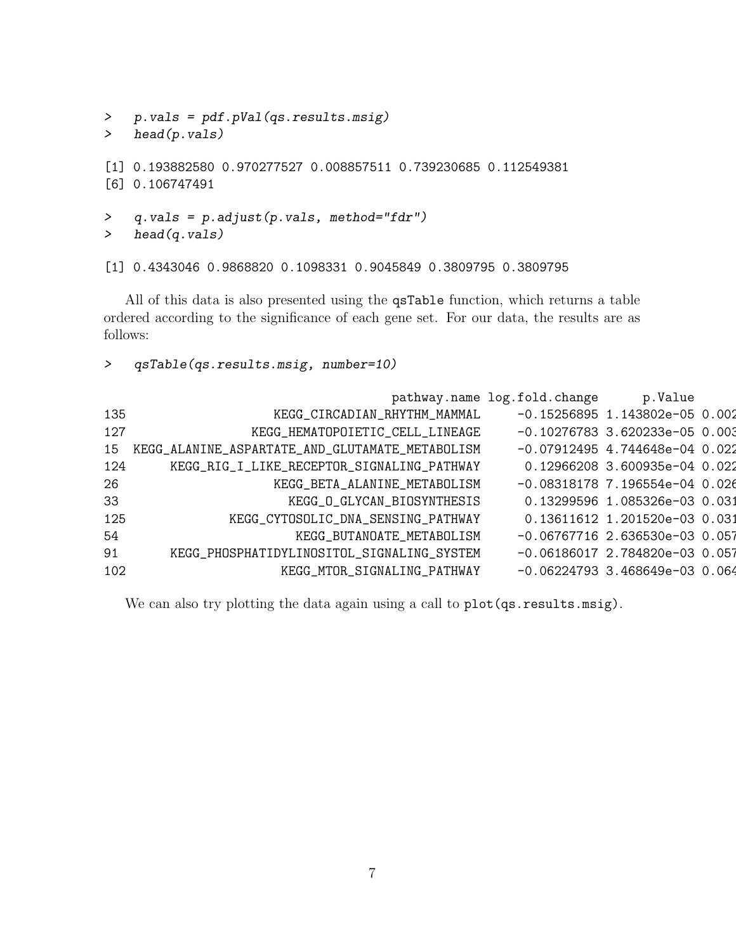> p.vals = pdf.pVal(qs.results.msig) > head(p.vals) [1] 0.193882580 0.970277527 0.008857511 0.739230685 0.112549381 [6] 0.106747491 > q.vals = p.adjust(p.vals, method="fdr") > head(q.vals)

[1] 0.4343046 0.9868820 0.1098331 0.9045849 0.3809795 0.3809795

All of this data is also presented using the qsTable function, which returns a table ordered according to the significance of each gene set. For our data, the results are as follows:

```
> qsTable(qs.results.msig, number=10)
```

|     |                                                 | pathway.name log.fold.change | p.Value                          |  |
|-----|-------------------------------------------------|------------------------------|----------------------------------|--|
| 135 | KEGG_CIRCADIAN_RHYTHM_MAMMAL                    |                              | $-0.15256895$ 1.143802e-05 0.002 |  |
| 127 | KEGG_HEMATOPOIETIC_CELL_LINEAGE                 |                              | $-0.10276783$ 3.620233e-05 0.003 |  |
| 15  | KEGG_ALANINE_ASPARTATE_AND_GLUTAMATE_METABOLISM |                              | $-0.07912495$ 4.744648e-04 0.022 |  |
| 124 | KEGG_RIG_I_LIKE_RECEPTOR_SIGNALING_PATHWAY      |                              | 0.12966208 3.600935e-04 0.022    |  |
| 26  | KEGG_BETA_ALANINE_METABOLISM                    |                              | $-0.08318178$ 7.196554e-04 0.026 |  |
| 33  | KEGG_O_GLYCAN_BIOSYNTHESIS                      |                              | 0.13299596 1.085326e-03 0.031    |  |
| 125 | KEGG_CYTOSOLIC_DNA_SENSING_PATHWAY              |                              | 0.13611612 1.201520e-03 0.031    |  |
| 54  | KEGG_BUTANOATE_METABOLISM                       |                              | $-0.06767716$ 2.636530e-03 0.057 |  |
| 91  | KEGG_PHOSPHATIDYLINOSITOL_SIGNALING_SYSTEM      |                              | $-0.06186017$ 2.784820e-03 0.057 |  |
| 102 | KEGG_MTOR_SIGNALING_PATHWAY                     |                              | $-0.06224793$ 3.468649e-03 0.064 |  |

We can also try plotting the data again using a call to plot(qs.results.msig).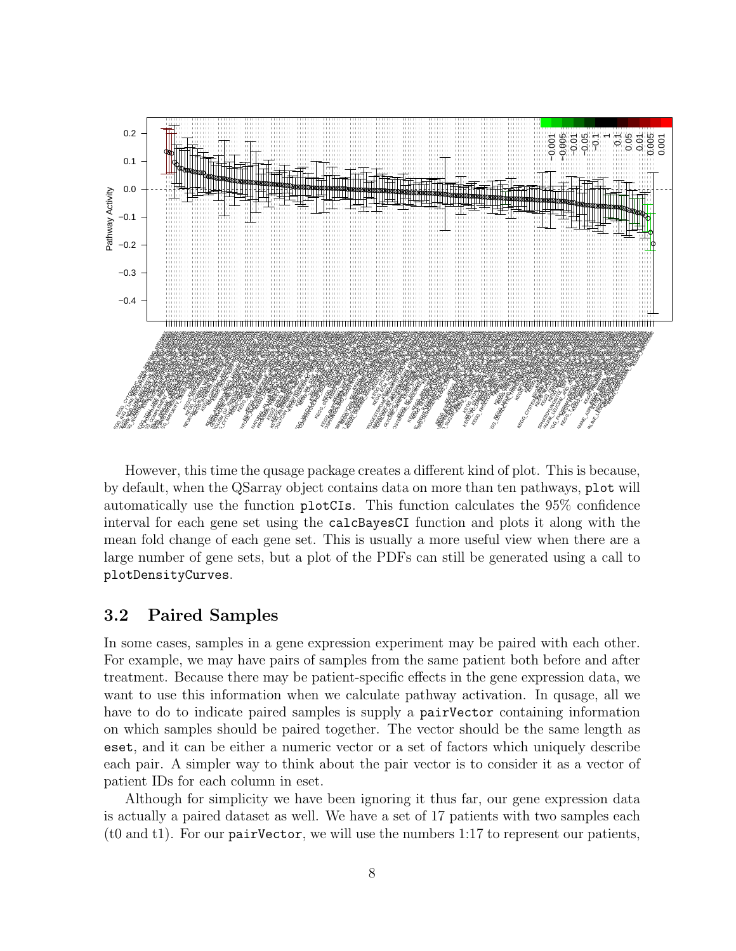

However, this time the qusage package creates a different kind of plot. This is because, by default, when the QSarray object contains data on more than ten pathways, plot will automatically use the function plotCIs. This function calculates the 95% confidence interval for each gene set using the calcBayesCI function and plots it along with the mean fold change of each gene set. This is usually a more useful view when there are a large number of gene sets, but a plot of the PDFs can still be generated using a call to plotDensityCurves.

### <span id="page-7-0"></span>3.2 Paired Samples

In some cases, samples in a gene expression experiment may be paired with each other. For example, we may have pairs of samples from the same patient both before and after treatment. Because there may be patient-specific effects in the gene expression data, we want to use this information when we calculate pathway activation. In qusage, all we have to do to indicate paired samples is supply a pairVector containing information on which samples should be paired together. The vector should be the same length as eset, and it can be either a numeric vector or a set of factors which uniquely describe each pair. A simpler way to think about the pair vector is to consider it as a vector of patient IDs for each column in eset.

Although for simplicity we have been ignoring it thus far, our gene expression data is actually a paired dataset as well. We have a set of 17 patients with two samples each (t0 and t1). For our pairVector, we will use the numbers 1:17 to represent our patients,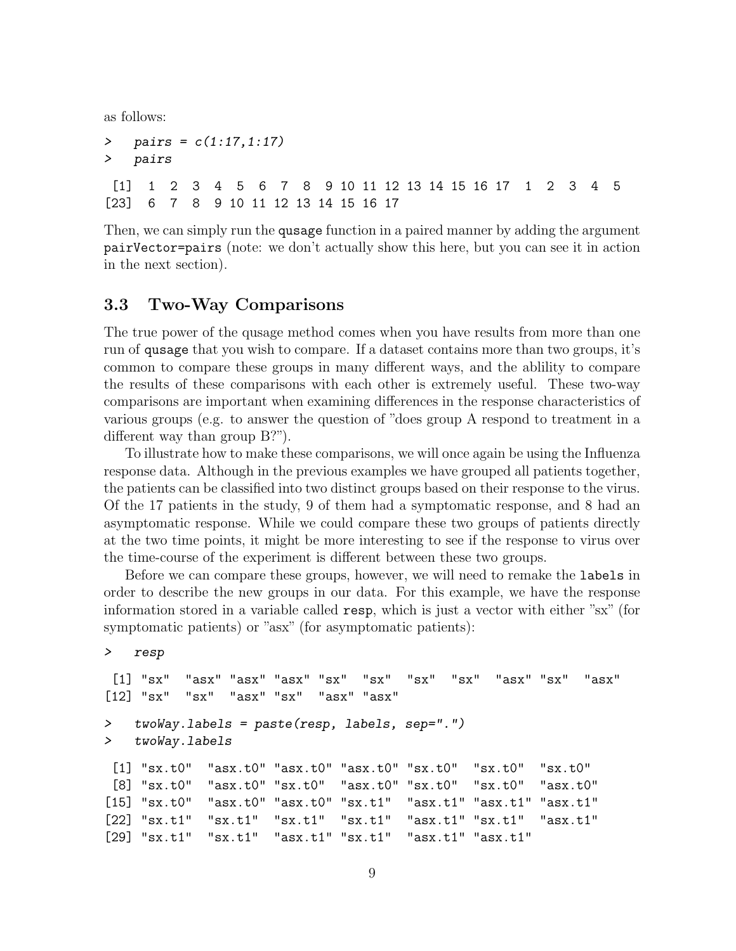as follows:

```
> pairs = c(1:17,1:17)> pairs
[1] 1 2 3 4 5 6 7 8 9 10 11 12 13 14 15 16 17 1 2 3 4 5
[23] 6 7 8 9 10 11 12 13 14 15 16 17
```
Then, we can simply run the qusage function in a paired manner by adding the argument pairVector=pairs (note: we don't actually show this here, but you can see it in action in the next section).

#### <span id="page-8-0"></span>3.3 Two-Way Comparisons

The true power of the qusage method comes when you have results from more than one run of qusage that you wish to compare. If a dataset contains more than two groups, it's common to compare these groups in many different ways, and the ablility to compare the results of these comparisons with each other is extremely useful. These two-way comparisons are important when examining differences in the response characteristics of various groups (e.g. to answer the question of "does group A respond to treatment in a different way than group B?").

To illustrate how to make these comparisons, we will once again be using the Influenza response data. Although in the previous examples we have grouped all patients together, the patients can be classified into two distinct groups based on their response to the virus. Of the 17 patients in the study, 9 of them had a symptomatic response, and 8 had an asymptomatic response. While we could compare these two groups of patients directly at the two time points, it might be more interesting to see if the response to virus over the time-course of the experiment is different between these two groups.

Before we can compare these groups, however, we will need to remake the labels in order to describe the new groups in our data. For this example, we have the response information stored in a variable called resp, which is just a vector with either "sx" (for symptomatic patients) or "asx" (for asymptomatic patients):

```
> resp
 [1] "sx" "asx" "asx" "asx" "sx" "sx" "sx" "sx" "asx" "sx" "asx"
[12] "sx" "sx" "asx" "sx" "asx" "asx"
> twoWay.labels = paste(resp, labels, sep=".")
> twoWay.labels
 [1] "sx.t0" "asx.t0" "asx.t0" "asx.t0" "sx.t0" "sx.t0" "sx.t0"
 [8] "sx.t0" "asx.t0" "sx.t0" "asx.t0" "sx.t0" "sx.t0" "asx.t0"
[15] "sx.t0" "asx.t0" "asx.t0" "sx.t1" "asx.t1" "asx.t1" "asx.t1"
[22] "sx.t1" "sx.t1" "sx.t1" "sx.t1" "asx.t1" "sx.t1" "asx.t1"
[29] "sx.t1" "sx.t1" "asx.t1" "sx.t1" "asx.t1" "asx.t1"
```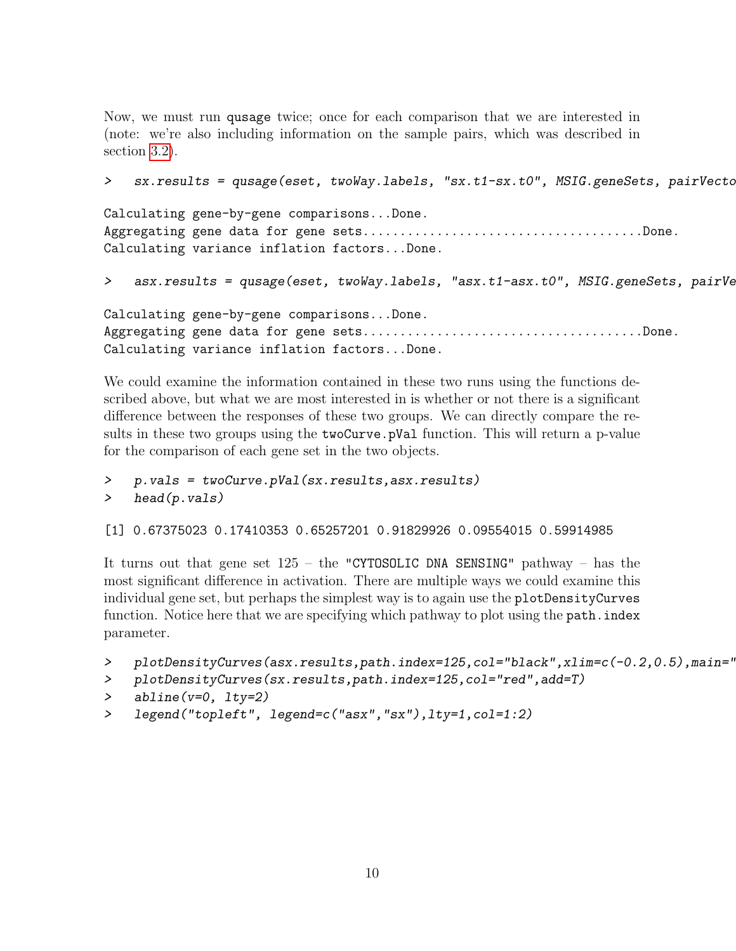Now, we must run qusage twice; once for each comparison that we are interested in (note: we're also including information on the sample pairs, which was described in section [3.2\)](#page-7-0).

```
> sx.results = qusage(eset, twoWay.labels, "sx.t1-sx.t0", MSIG.geneSets, pairVectc
Calculating gene-by-gene comparisons...Done.
Aggregating gene data for gene sets......................................Done.
Calculating variance inflation factors...Done.
> asx.results = qusage(eset, twoWay.labels, "asx.t1-asx.t0", MSIG.geneSets, pairVe
Calculating gene-by-gene comparisons...Done.
Aggregating gene data for gene sets......................................Done.
Calculating variance inflation factors...Done.
```
We could examine the information contained in these two runs using the functions described above, but what we are most interested in is whether or not there is a significant difference between the responses of these two groups. We can directly compare the results in these two groups using the twoCurve.pVal function. This will return a p-value for the comparison of each gene set in the two objects.

```
> p.vals = twoCurve.pVal(sx.results,asx.results)
```

```
> head(p.vals)
```
[1] 0.67375023 0.17410353 0.65257201 0.91829926 0.09554015 0.59914985

It turns out that gene set  $125 -$  the "CYTOSOLIC DNA SENSING" pathway – has the most significant difference in activation. There are multiple ways we could examine this individual gene set, but perhaps the simplest way is to again use the plotDensityCurves function. Notice here that we are specifying which pathway to plot using the path.index parameter.

- > plotDensityCurves(asx.results,path.index=125,col="black",xlim=c(-0.2,0.5),main="
- > plotDensityCurves(sx.results,path.index=125,col="red",add=T)

```
> abline(v=0, lty=2)
```
> legend("topleft", legend=c("asx","sx"),lty=1,col=1:2)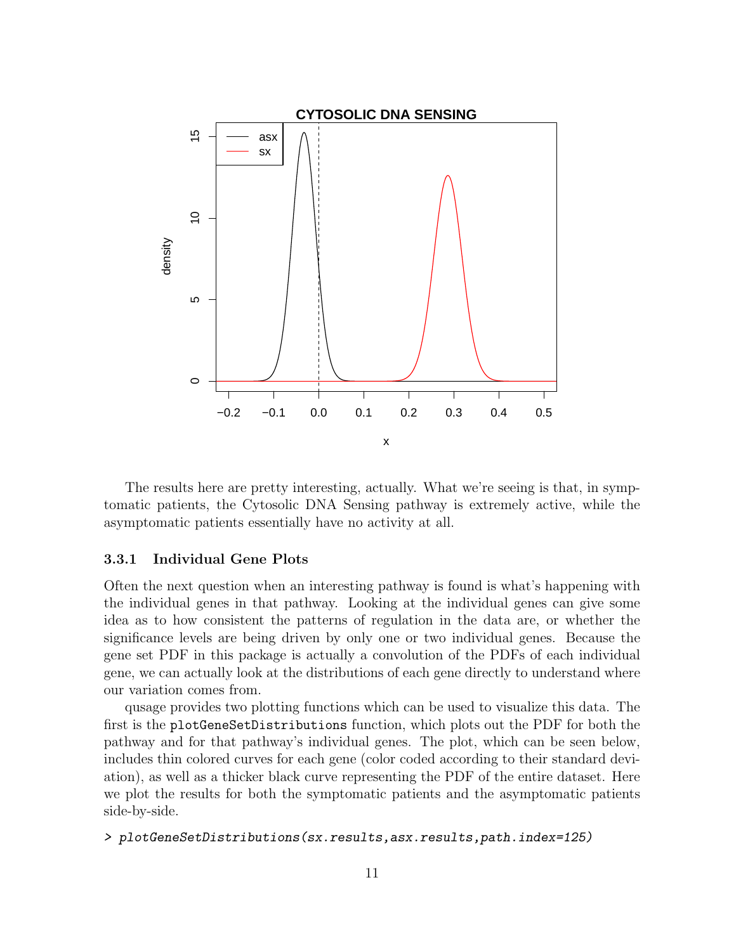

The results here are pretty interesting, actually. What we're seeing is that, in symptomatic patients, the Cytosolic DNA Sensing pathway is extremely active, while the asymptomatic patients essentially have no activity at all.

#### <span id="page-10-0"></span>3.3.1 Individual Gene Plots

Often the next question when an interesting pathway is found is what's happening with the individual genes in that pathway. Looking at the individual genes can give some idea as to how consistent the patterns of regulation in the data are, or whether the significance levels are being driven by only one or two individual genes. Because the gene set PDF in this package is actually a convolution of the PDFs of each individual gene, we can actually look at the distributions of each gene directly to understand where our variation comes from.

qusage provides two plotting functions which can be used to visualize this data. The first is the plotGeneSetDistributions function, which plots out the PDF for both the pathway and for that pathway's individual genes. The plot, which can be seen below, includes thin colored curves for each gene (color coded according to their standard deviation), as well as a thicker black curve representing the PDF of the entire dataset. Here we plot the results for both the symptomatic patients and the asymptomatic patients side-by-side.

```
> plotGeneSetDistributions(sx.results,asx.results,path.index=125)
```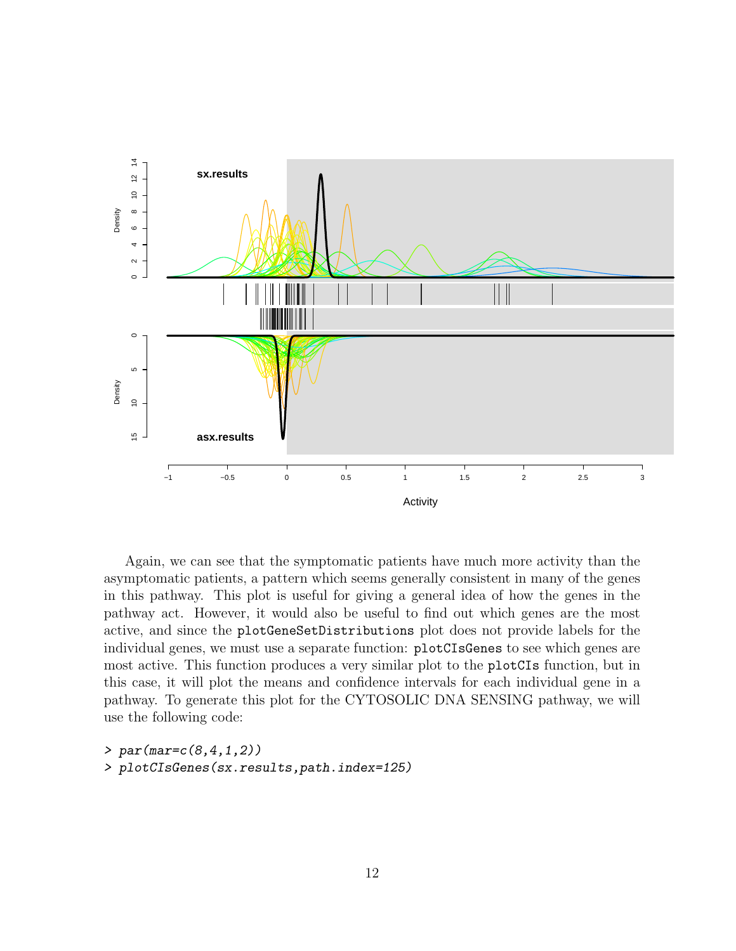

Again, we can see that the symptomatic patients have much more activity than the asymptomatic patients, a pattern which seems generally consistent in many of the genes in this pathway. This plot is useful for giving a general idea of how the genes in the pathway act. However, it would also be useful to find out which genes are the most active, and since the plotGeneSetDistributions plot does not provide labels for the individual genes, we must use a separate function: plotCIsGenes to see which genes are most active. This function produces a very similar plot to the plotCIs function, but in this case, it will plot the means and confidence intervals for each individual gene in a pathway. To generate this plot for the CYTOSOLIC DNA SENSING pathway, we will use the following code:

 $> par(max=c(8,4,1,2))$ 

> plotCIsGenes(sx.results,path.index=125)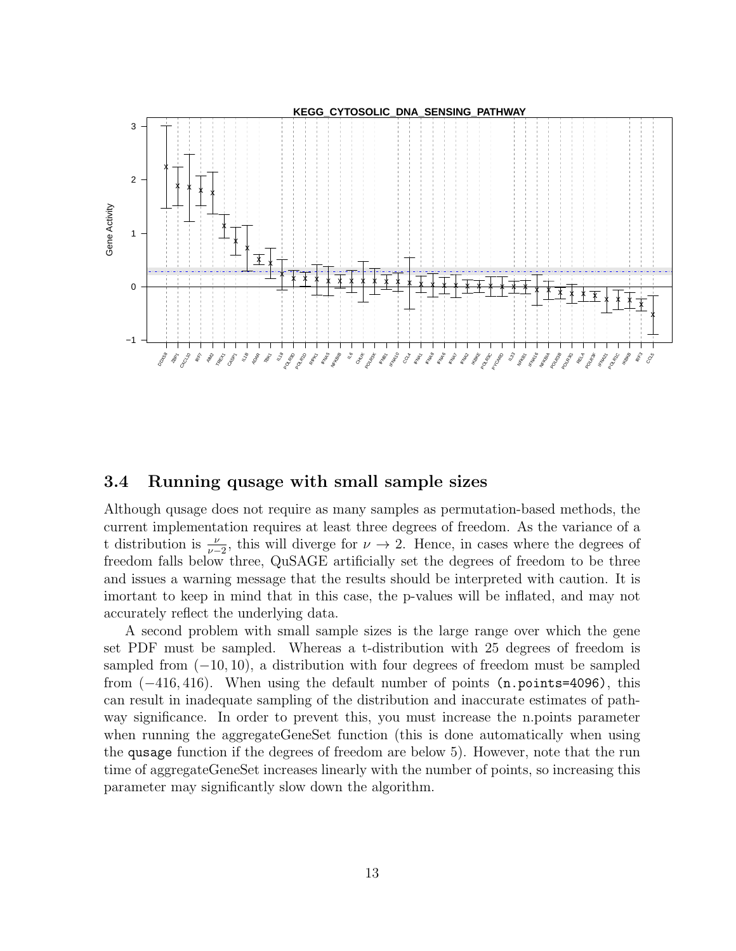

#### <span id="page-12-0"></span>3.4 Running qusage with small sample sizes

Although qusage does not require as many samples as permutation-based methods, the current implementation requires at least three degrees of freedom. As the variance of a t distribution is  $\frac{\nu}{\nu-2}$ , this will diverge for  $\nu \to 2$ . Hence, in cases where the degrees of freedom falls below three, QuSAGE artificially set the degrees of freedom to be three and issues a warning message that the results should be interpreted with caution. It is imortant to keep in mind that in this case, the p-values will be inflated, and may not accurately reflect the underlying data.

A second problem with small sample sizes is the large range over which the gene set PDF must be sampled. Whereas a t-distribution with 25 degrees of freedom is sampled from  $(-10, 10)$ , a distribution with four degrees of freedom must be sampled from  $(-416, 416)$ . When using the default number of points  $(n.$  points=4096), this can result in inadequate sampling of the distribution and inaccurate estimates of pathway significance. In order to prevent this, you must increase the n.points parameter when running the aggregateGeneSet function (this is done automatically when using the qusage function if the degrees of freedom are below 5). However, note that the run time of aggregateGeneSet increases linearly with the number of points, so increasing this parameter may significantly slow down the algorithm.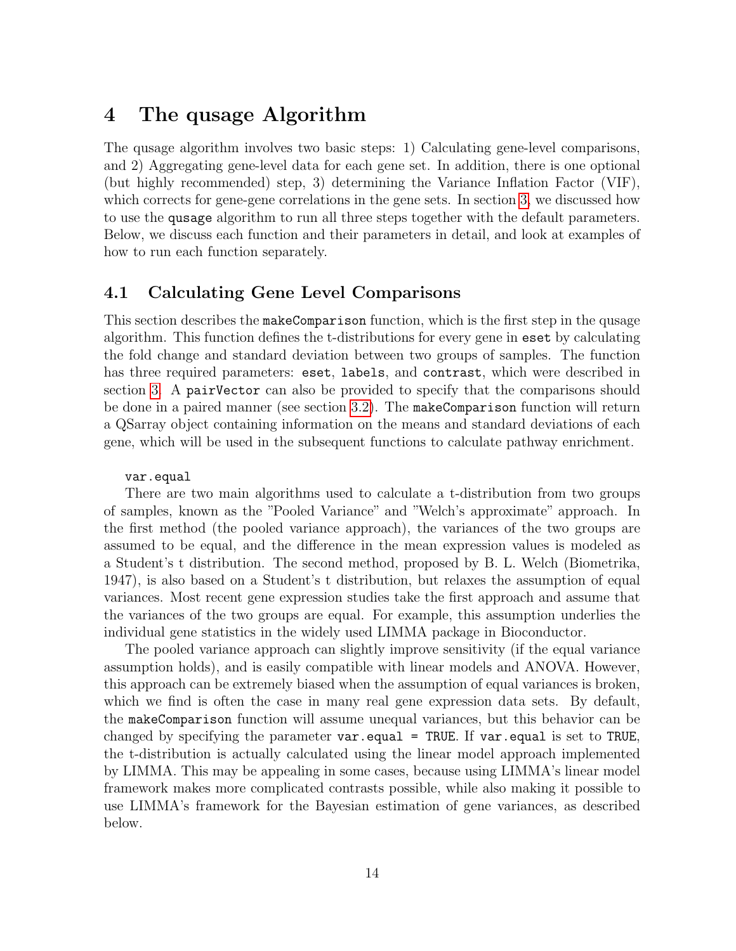### <span id="page-13-0"></span>4 The qusage Algorithm

The qusage algorithm involves two basic steps: 1) Calculating gene-level comparisons, and 2) Aggregating gene-level data for each gene set. In addition, there is one optional (but highly recommended) step, 3) determining the Variance Inflation Factor (VIF), which corrects for gene-gene correlations in the gene sets. In section [3,](#page-2-0) we discussed how to use the qusage algorithm to run all three steps together with the default parameters. Below, we discuss each function and their parameters in detail, and look at examples of how to run each function separately.

### <span id="page-13-1"></span>4.1 Calculating Gene Level Comparisons

This section describes the makeComparison function, which is the first step in the qusage algorithm. This function defines the t-distributions for every gene in eset by calculating the fold change and standard deviation between two groups of samples. The function has three required parameters: eset, labels, and contrast, which were described in section [3.](#page-2-0) A pairVector can also be provided to specify that the comparisons should be done in a paired manner (see section [3.2\)](#page-7-0). The makeComparison function will return a QSarray object containing information on the means and standard deviations of each gene, which will be used in the subsequent functions to calculate pathway enrichment.

#### var.equal

There are two main algorithms used to calculate a t-distribution from two groups of samples, known as the "Pooled Variance" and "Welch's approximate" approach. In the first method (the pooled variance approach), the variances of the two groups are assumed to be equal, and the difference in the mean expression values is modeled as a Student's t distribution. The second method, proposed by B. L. Welch (Biometrika, 1947), is also based on a Student's t distribution, but relaxes the assumption of equal variances. Most recent gene expression studies take the first approach and assume that the variances of the two groups are equal. For example, this assumption underlies the individual gene statistics in the widely used LIMMA package in Bioconductor.

The pooled variance approach can slightly improve sensitivity (if the equal variance assumption holds), and is easily compatible with linear models and ANOVA. However, this approach can be extremely biased when the assumption of equal variances is broken, which we find is often the case in many real gene expression data sets. By default, the makeComparison function will assume unequal variances, but this behavior can be changed by specifying the parameter  $var.equals = TRUE$ . If  $var.equals$  is set to TRUE, the t-distribution is actually calculated using the linear model approach implemented by LIMMA. This may be appealing in some cases, because using LIMMA's linear model framework makes more complicated contrasts possible, while also making it possible to use LIMMA's framework for the Bayesian estimation of gene variances, as described below.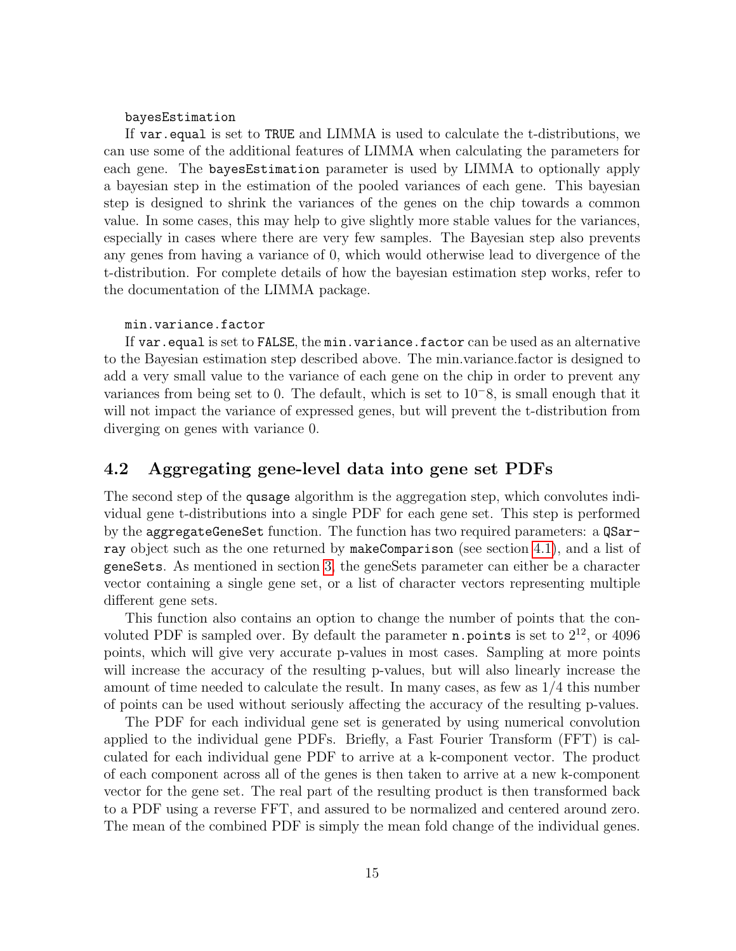#### bayesEstimation

If var.equal is set to TRUE and LIMMA is used to calculate the t-distributions, we can use some of the additional features of LIMMA when calculating the parameters for each gene. The bayesEstimation parameter is used by LIMMA to optionally apply a bayesian step in the estimation of the pooled variances of each gene. This bayesian step is designed to shrink the variances of the genes on the chip towards a common value. In some cases, this may help to give slightly more stable values for the variances, especially in cases where there are very few samples. The Bayesian step also prevents any genes from having a variance of 0, which would otherwise lead to divergence of the t-distribution. For complete details of how the bayesian estimation step works, refer to the documentation of the LIMMA package.

#### min.variance.factor

If var.equal is set to FALSE, the min.variance.factor can be used as an alternative to the Bayesian estimation step described above. The min.variance.factor is designed to add a very small value to the variance of each gene on the chip in order to prevent any variances from being set to 0. The default, which is set to 10<sup>−</sup>8, is small enough that it will not impact the variance of expressed genes, but will prevent the t-distribution from diverging on genes with variance 0.

### <span id="page-14-0"></span>4.2 Aggregating gene-level data into gene set PDFs

The second step of the qusage algorithm is the aggregation step, which convolutes individual gene t-distributions into a single PDF for each gene set. This step is performed by the aggregateGeneSet function. The function has two required parameters: a QSarray object such as the one returned by makeComparison (see section [4.1\)](#page-13-1), and a list of geneSets. As mentioned in section [3,](#page-2-0) the geneSets parameter can either be a character vector containing a single gene set, or a list of character vectors representing multiple different gene sets.

This function also contains an option to change the number of points that the convoluted PDF is sampled over. By default the parameter **n** points is set to  $2^{12}$ , or 4096 points, which will give very accurate p-values in most cases. Sampling at more points will increase the accuracy of the resulting p-values, but will also linearly increase the amount of time needed to calculate the result. In many cases, as few as  $1/4$  this number of points can be used without seriously affecting the accuracy of the resulting p-values.

The PDF for each individual gene set is generated by using numerical convolution applied to the individual gene PDFs. Briefly, a Fast Fourier Transform (FFT) is calculated for each individual gene PDF to arrive at a k-component vector. The product of each component across all of the genes is then taken to arrive at a new k-component vector for the gene set. The real part of the resulting product is then transformed back to a PDF using a reverse FFT, and assured to be normalized and centered around zero. The mean of the combined PDF is simply the mean fold change of the individual genes.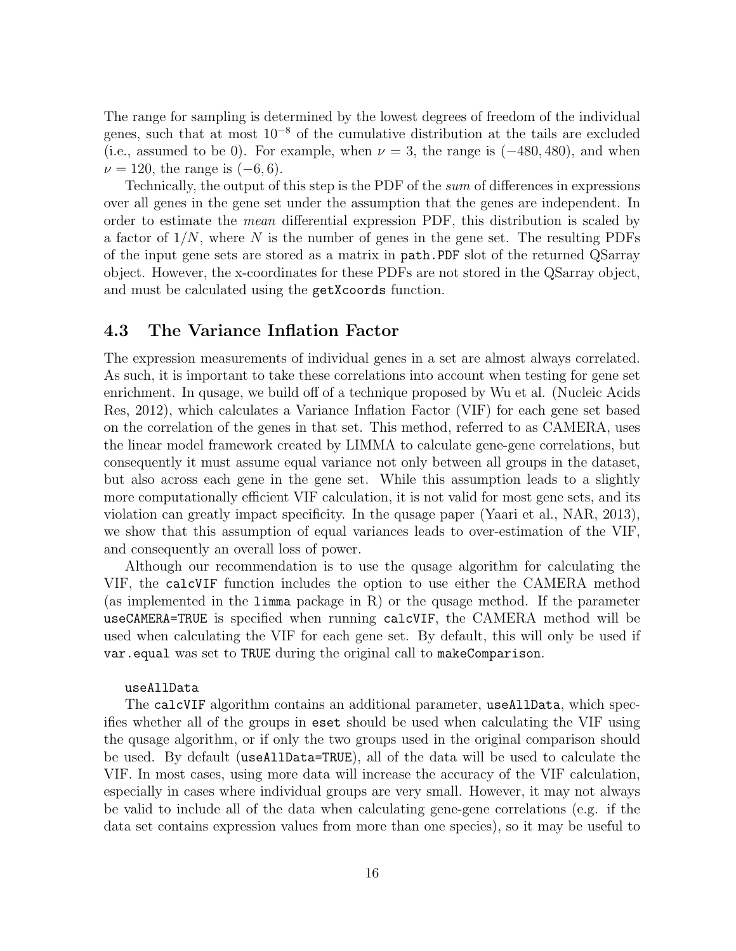The range for sampling is determined by the lowest degrees of freedom of the individual genes, such that at most  $10^{-8}$  of the cumulative distribution at the tails are excluded (i.e., assumed to be 0). For example, when  $\nu = 3$ , the range is ( $-480, 480$ ), and when  $\nu = 120$ , the range is  $(-6, 6)$ .

Technically, the output of this step is the PDF of the sum of differences in expressions over all genes in the gene set under the assumption that the genes are independent. In order to estimate the mean differential expression PDF, this distribution is scaled by a factor of  $1/N$ , where N is the number of genes in the gene set. The resulting PDFs of the input gene sets are stored as a matrix in path.PDF slot of the returned QSarray object. However, the x-coordinates for these PDFs are not stored in the QSarray object, and must be calculated using the getXcoords function.

#### <span id="page-15-0"></span>4.3 The Variance Inflation Factor

The expression measurements of individual genes in a set are almost always correlated. As such, it is important to take these correlations into account when testing for gene set enrichment. In qusage, we build off of a technique proposed by Wu et al. (Nucleic Acids Res, 2012), which calculates a Variance Inflation Factor (VIF) for each gene set based on the correlation of the genes in that set. This method, referred to as CAMERA, uses the linear model framework created by LIMMA to calculate gene-gene correlations, but consequently it must assume equal variance not only between all groups in the dataset, but also across each gene in the gene set. While this assumption leads to a slightly more computationally efficient VIF calculation, it is not valid for most gene sets, and its violation can greatly impact specificity. In the qusage paper (Yaari et al., NAR, 2013), we show that this assumption of equal variances leads to over-estimation of the VIF, and consequently an overall loss of power.

Although our recommendation is to use the qusage algorithm for calculating the VIF, the calcVIF function includes the option to use either the CAMERA method (as implemented in the limma package in R) or the qusage method. If the parameter useCAMERA=TRUE is specified when running calcVIF, the CAMERA method will be used when calculating the VIF for each gene set. By default, this will only be used if var.equal was set to TRUE during the original call to makeComparison.

#### useAllData

The calcVIF algorithm contains an additional parameter, useAllData, which specifies whether all of the groups in eset should be used when calculating the VIF using the qusage algorithm, or if only the two groups used in the original comparison should be used. By default (useAllData=TRUE), all of the data will be used to calculate the VIF. In most cases, using more data will increase the accuracy of the VIF calculation, especially in cases where individual groups are very small. However, it may not always be valid to include all of the data when calculating gene-gene correlations (e.g. if the data set contains expression values from more than one species), so it may be useful to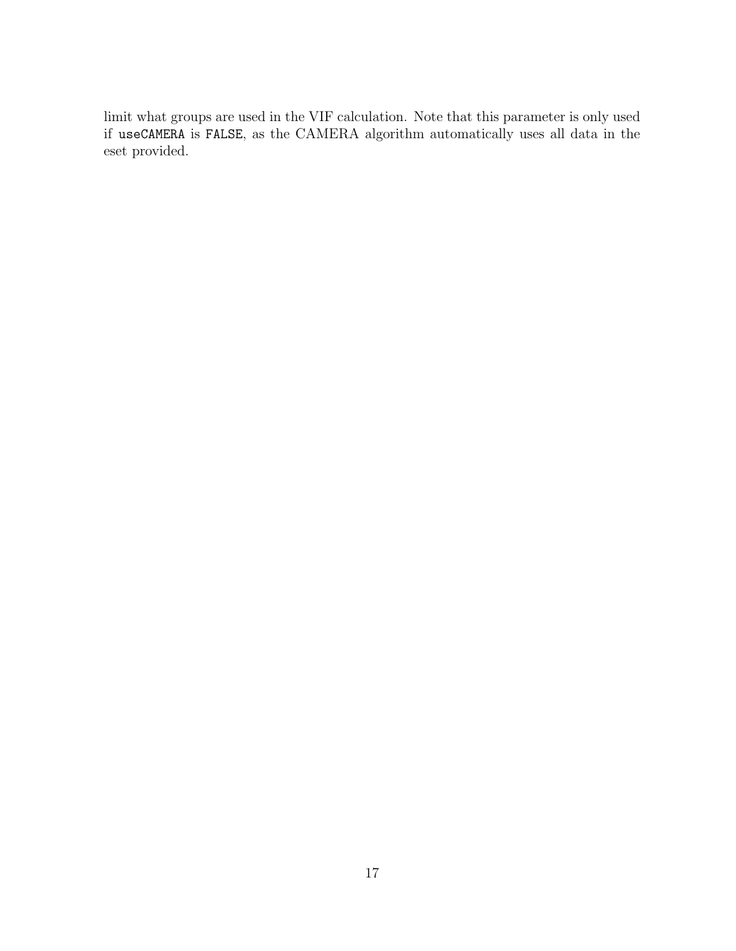limit what groups are used in the VIF calculation. Note that this parameter is only used if useCAMERA is FALSE, as the CAMERA algorithm automatically uses all data in the eset provided.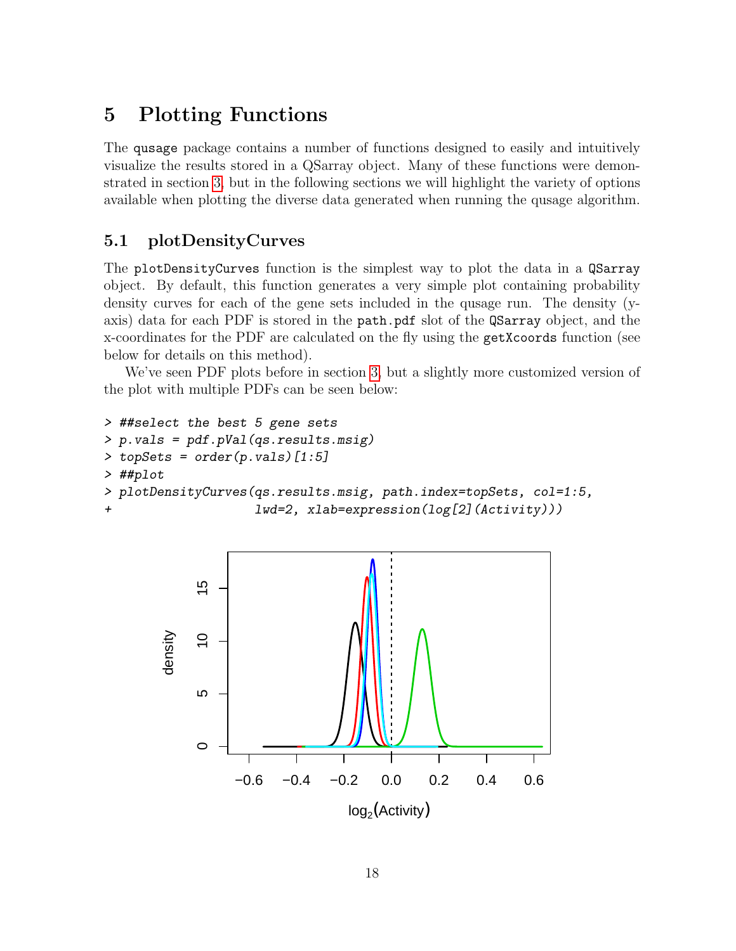## <span id="page-17-0"></span>5 Plotting Functions

The qusage package contains a number of functions designed to easily and intuitively visualize the results stored in a QSarray object. Many of these functions were demonstrated in section [3,](#page-2-0) but in the following sections we will highlight the variety of options available when plotting the diverse data generated when running the qusage algorithm.

### <span id="page-17-1"></span>5.1 plotDensityCurves

The plotDensityCurves function is the simplest way to plot the data in a QSarray object. By default, this function generates a very simple plot containing probability density curves for each of the gene sets included in the qusage run. The density (yaxis) data for each PDF is stored in the path.pdf slot of the QSarray object, and the x-coordinates for the PDF are calculated on the fly using the getXcoords function (see below for details on this method).

We've seen PDF plots before in section [3,](#page-2-0) but a slightly more customized version of the plot with multiple PDFs can be seen below:

```
> ##select the best 5 gene sets
> p.vals = pdf.pVal(qs.results.msig)
> topSets = order(p.vals)[1:5]
> ##plot
> plotDensityCurves(qs.results.msig, path.index=topSets, col=1:5,
+ lwd=2, xlab=expression(log[2](Activity)))
```
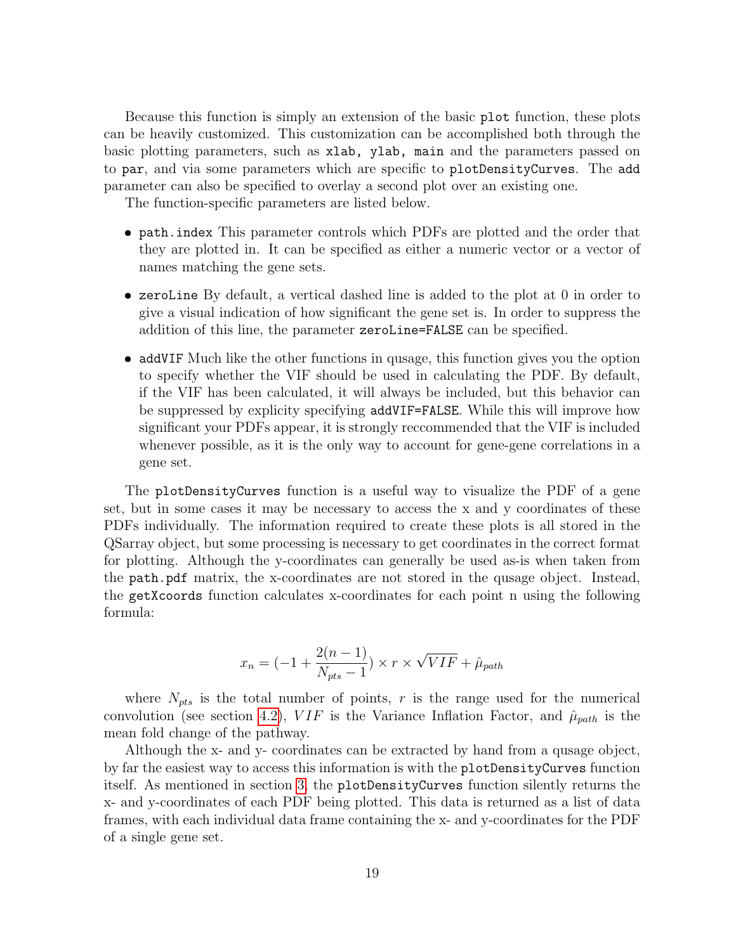Because this function is simply an extension of the basic plot function, these plots can be heavily customized. This customization can be accomplished both through the basic plotting parameters, such as xlab, ylab, main and the parameters passed on to par, and via some parameters which are specific to plotDensityCurves. The add parameter can also be specified to overlay a second plot over an existing one.

The function-specific parameters are listed below.

- path.index This parameter controls which PDFs are plotted and the order that they are plotted in. It can be specified as either a numeric vector or a vector of names matching the gene sets.
- zeroLine By default, a vertical dashed line is added to the plot at 0 in order to give a visual indication of how significant the gene set is. In order to suppress the addition of this line, the parameter zeroLine=FALSE can be specified.
- addVIF Much like the other functions in qusage, this function gives you the option to specify whether the VIF should be used in calculating the PDF. By default, if the VIF has been calculated, it will always be included, but this behavior can be suppressed by explicity specifying addVIF=FALSE. While this will improve how significant your PDFs appear, it is strongly reccommended that the VIF is included whenever possible, as it is the only way to account for gene-gene correlations in a gene set.

The plotDensityCurves function is a useful way to visualize the PDF of a gene set, but in some cases it may be necessary to access the x and y coordinates of these PDFs individually. The information required to create these plots is all stored in the QSarray object, but some processing is necessary to get coordinates in the correct format for plotting. Although the y-coordinates can generally be used as-is when taken from the path.pdf matrix, the x-coordinates are not stored in the qusage object. Instead, the getXcoords function calculates x-coordinates for each point n using the following formula:

$$
x_n = (-1 + \frac{2(n-1)}{N_{pts} - 1}) \times r \times \sqrt{VIF} + \hat{\mu}_{path}
$$

where  $N_{pts}$  is the total number of points, r is the range used for the numerical convolution (see section [4.2\)](#page-14-0),  $VIF$  is the Variance Inflation Factor, and  $\hat{\mu}_{path}$  is the mean fold change of the pathway.

Although the x- and y- coordinates can be extracted by hand from a qusage object, by far the easiest way to access this information is with the plotDensityCurves function itself. As mentioned in section [3,](#page-2-0) the plotDensityCurves function silently returns the x- and y-coordinates of each PDF being plotted. This data is returned as a list of data frames, with each individual data frame containing the x- and y-coordinates for the PDF of a single gene set.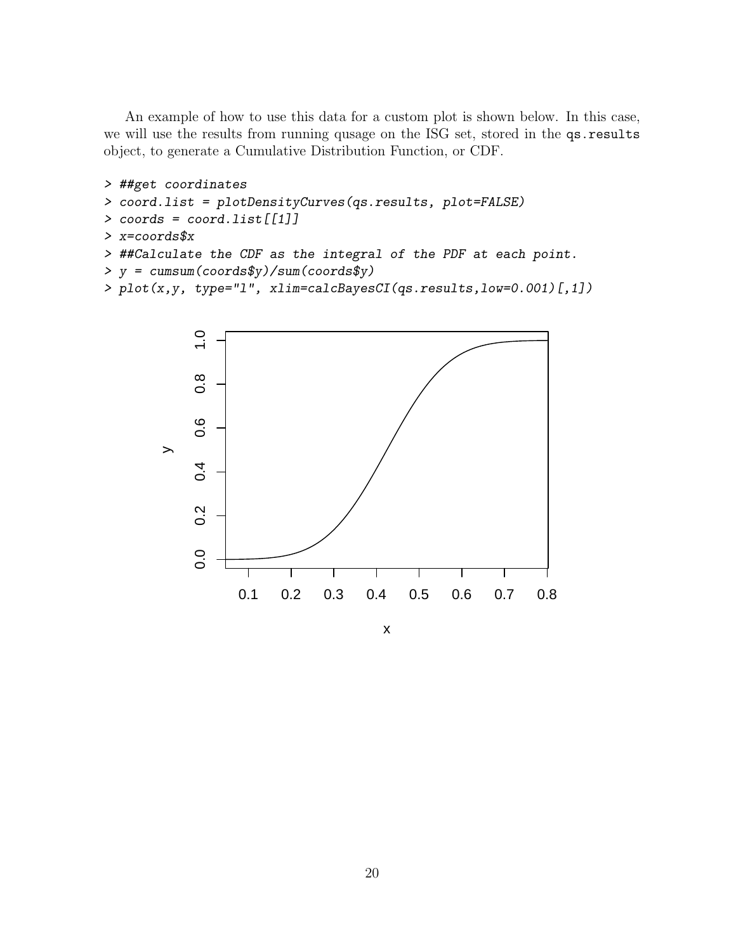An example of how to use this data for a custom plot is shown below. In this case, we will use the results from running qusage on the ISG set, stored in the qs.results object, to generate a Cumulative Distribution Function, or CDF.

```
> ##get coordinates
> coord.list = plotDensityCurves(qs.results, plot=FALSE)
> coords = coord.list[[1]]
> x=coords$x
> ##Calculate the CDF as the integral of the PDF at each point.
> y = cumsum(coords$y)/sum(coords$y)
> plot(x,y, type="l", xlim=calcBayesCI(qs.results,low=0.001)[,1])
```


x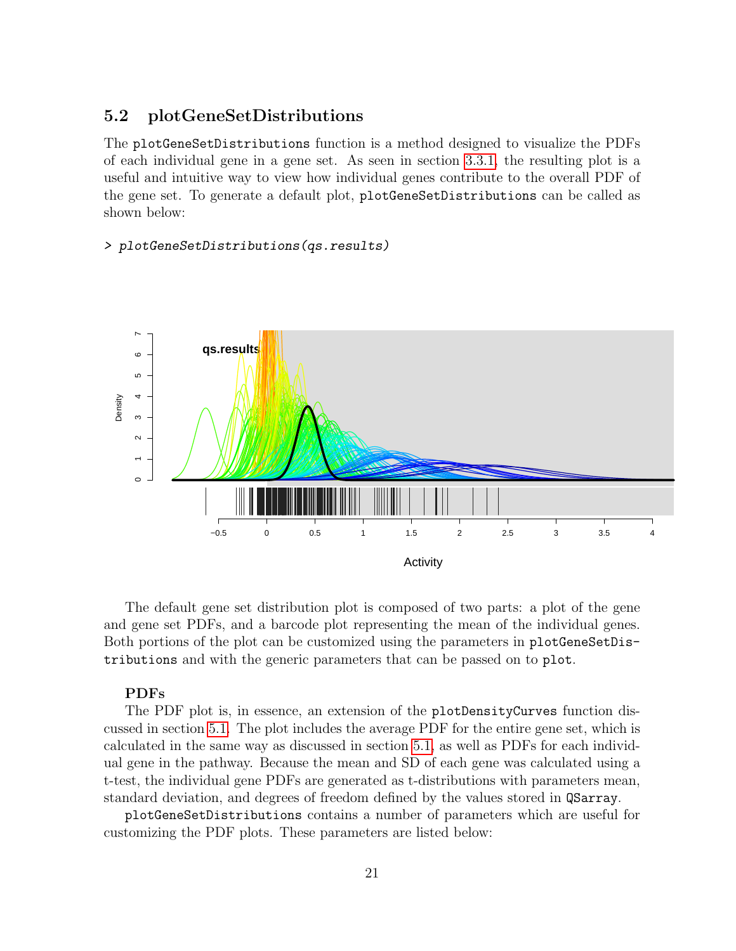#### <span id="page-20-0"></span>5.2 plotGeneSetDistributions

The plotGeneSetDistributions function is a method designed to visualize the PDFs of each individual gene in a gene set. As seen in section [3.3.1,](#page-10-0) the resulting plot is a useful and intuitive way to view how individual genes contribute to the overall PDF of the gene set. To generate a default plot, plotGeneSetDistributions can be called as shown below:

#### > plotGeneSetDistributions(qs.results)



The default gene set distribution plot is composed of two parts: a plot of the gene and gene set PDFs, and a barcode plot representing the mean of the individual genes. Both portions of the plot can be customized using the parameters in plotGeneSetDistributions and with the generic parameters that can be passed on to plot.

#### PDFs

The PDF plot is, in essence, an extension of the plotDensityCurves function discussed in section [5.1.](#page-17-1) The plot includes the average PDF for the entire gene set, which is calculated in the same way as discussed in section [5.1,](#page-17-1) as well as PDFs for each individual gene in the pathway. Because the mean and SD of each gene was calculated using a t-test, the individual gene PDFs are generated as t-distributions with parameters mean, standard deviation, and degrees of freedom defined by the values stored in QSarray.

plotGeneSetDistributions contains a number of parameters which are useful for customizing the PDF plots. These parameters are listed below: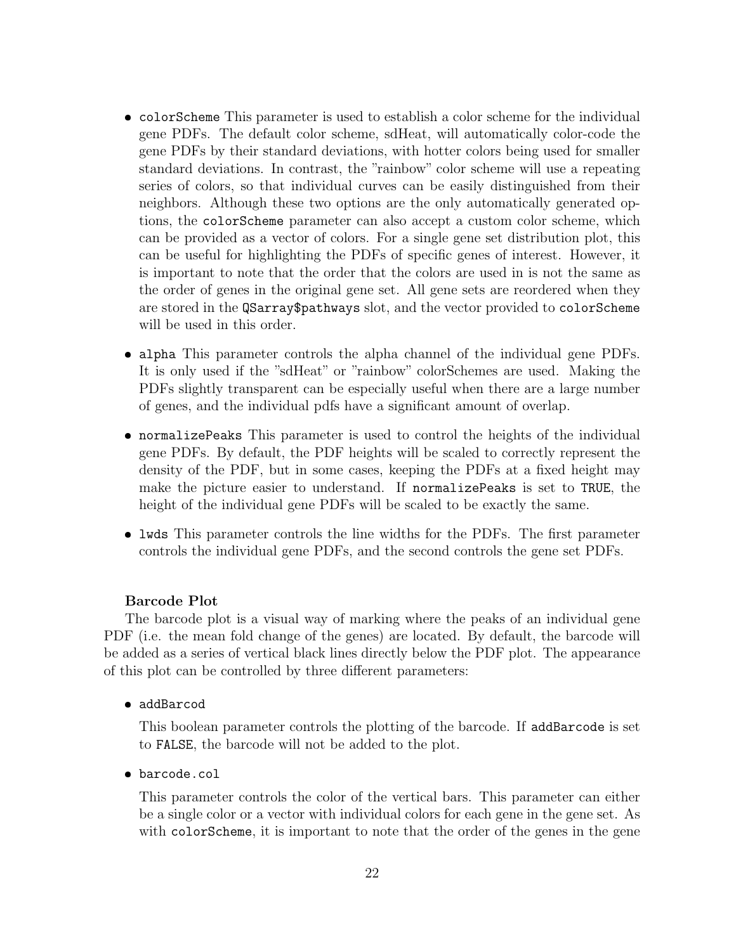- colorScheme This parameter is used to establish a color scheme for the individual gene PDFs. The default color scheme, sdHeat, will automatically color-code the gene PDFs by their standard deviations, with hotter colors being used for smaller standard deviations. In contrast, the "rainbow" color scheme will use a repeating series of colors, so that individual curves can be easily distinguished from their neighbors. Although these two options are the only automatically generated options, the colorScheme parameter can also accept a custom color scheme, which can be provided as a vector of colors. For a single gene set distribution plot, this can be useful for highlighting the PDFs of specific genes of interest. However, it is important to note that the order that the colors are used in is not the same as the order of genes in the original gene set. All gene sets are reordered when they are stored in the QSarray\$pathways slot, and the vector provided to colorScheme will be used in this order.
- alpha This parameter controls the alpha channel of the individual gene PDFs. It is only used if the "sdHeat" or "rainbow" colorSchemes are used. Making the PDFs slightly transparent can be especially useful when there are a large number of genes, and the individual pdfs have a significant amount of overlap.
- normalizePeaks This parameter is used to control the heights of the individual gene PDFs. By default, the PDF heights will be scaled to correctly represent the density of the PDF, but in some cases, keeping the PDFs at a fixed height may make the picture easier to understand. If normalizePeaks is set to TRUE, the height of the individual gene PDFs will be scaled to be exactly the same.
- lwds This parameter controls the line widths for the PDFs. The first parameter controls the individual gene PDFs, and the second controls the gene set PDFs.

#### Barcode Plot

The barcode plot is a visual way of marking where the peaks of an individual gene PDF (i.e. the mean fold change of the genes) are located. By default, the barcode will be added as a series of vertical black lines directly below the PDF plot. The appearance of this plot can be controlled by three different parameters:

addBarcod

This boolean parameter controls the plotting of the barcode. If addBarcode is set to FALSE, the barcode will not be added to the plot.

barcode.col

This parameter controls the color of the vertical bars. This parameter can either be a single color or a vector with individual colors for each gene in the gene set. As with colorScheme, it is important to note that the order of the genes in the gene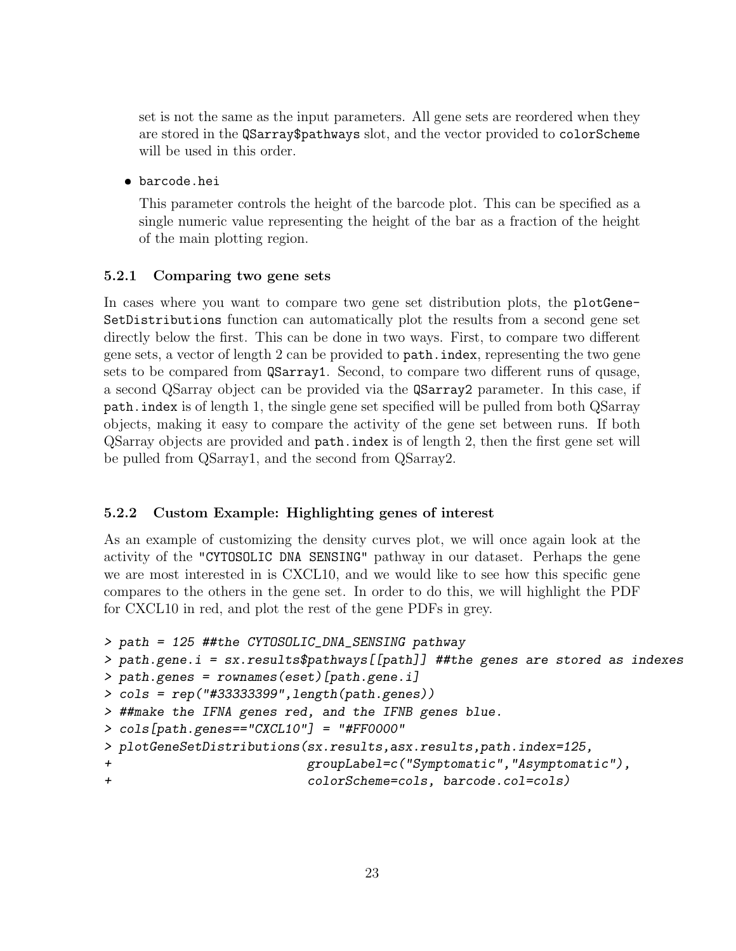set is not the same as the input parameters. All gene sets are reordered when they are stored in the QSarray\$pathways slot, and the vector provided to colorScheme will be used in this order.

barcode.hei

This parameter controls the height of the barcode plot. This can be specified as a single numeric value representing the height of the bar as a fraction of the height of the main plotting region.

#### <span id="page-22-0"></span>5.2.1 Comparing two gene sets

In cases where you want to compare two gene set distribution plots, the plotGene-SetDistributions function can automatically plot the results from a second gene set directly below the first. This can be done in two ways. First, to compare two different gene sets, a vector of length 2 can be provided to path.index, representing the two gene sets to be compared from QSarray1. Second, to compare two different runs of qusage, a second QSarray object can be provided via the QSarray2 parameter. In this case, if path.index is of length 1, the single gene set specified will be pulled from both QSarray objects, making it easy to compare the activity of the gene set between runs. If both QSarray objects are provided and path.index is of length 2, then the first gene set will be pulled from QSarray1, and the second from QSarray2.

#### <span id="page-22-1"></span>5.2.2 Custom Example: Highlighting genes of interest

As an example of customizing the density curves plot, we will once again look at the activity of the "CYTOSOLIC DNA SENSING" pathway in our dataset. Perhaps the gene we are most interested in is CXCL10, and we would like to see how this specific gene compares to the others in the gene set. In order to do this, we will highlight the PDF for CXCL10 in red, and plot the rest of the gene PDFs in grey.

```
> path = 125 ##the CYTOSOLIC_DNA_SENSING pathway
> path.gene.i = sx.results$pathways[[path]] ##the genes are stored as indexes
> path.genes = rownames(eset)[path.gene.i]
> cols = rep("#33333399",length(path.genes))
> ##make the IFNA genes red, and the IFNB genes blue.
> cols[path.genes=="CXCL10"] = "#FF0000"
> plotGeneSetDistributions(sx.results,asx.results,path.index=125,
+ groupLabel=c("Symptomatic","Asymptomatic"),
+ colorScheme=cols, barcode.col=cols)
```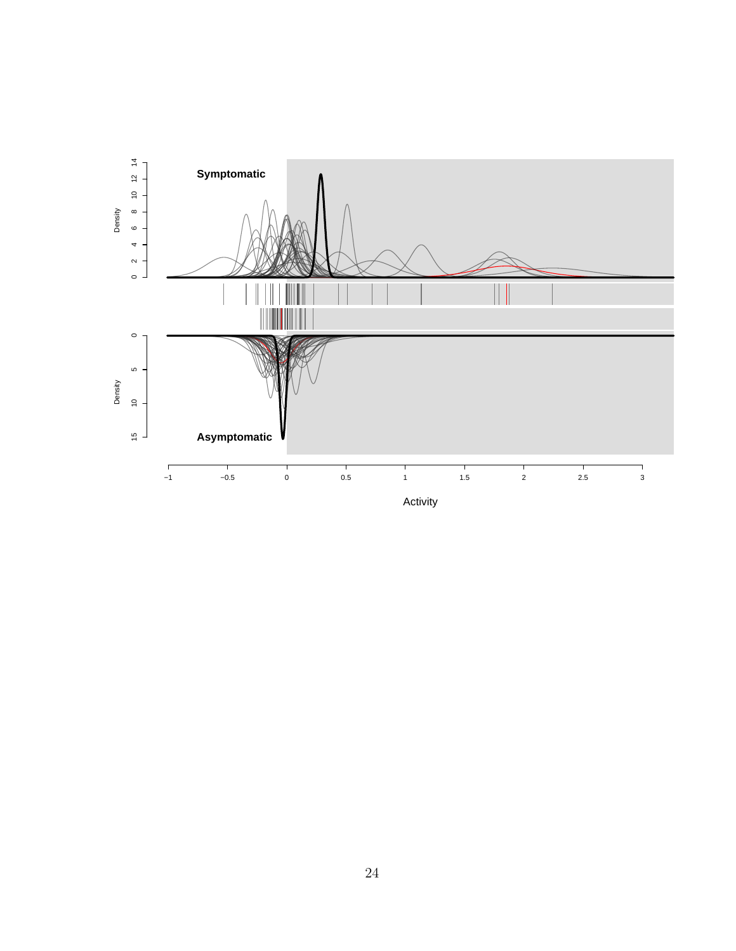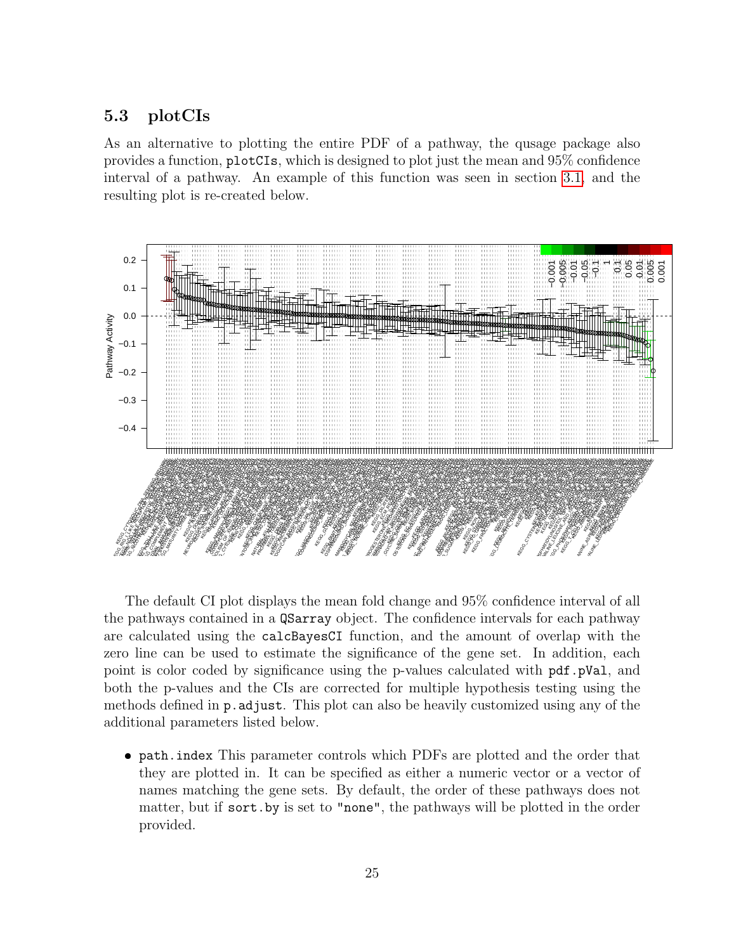### <span id="page-24-0"></span>5.3 plotCIs

As an alternative to plotting the entire PDF of a pathway, the qusage package also provides a function, plotCIs, which is designed to plot just the mean and 95% confidence interval of a pathway. An example of this function was seen in section [3.1,](#page-5-0) and the resulting plot is re-created below.

![](_page_24_Figure_2.jpeg)

The default CI plot displays the mean fold change and 95% confidence interval of all the pathways contained in a QSarray object. The confidence intervals for each pathway are calculated using the calcBayesCI function, and the amount of overlap with the zero line can be used to estimate the significance of the gene set. In addition, each point is color coded by significance using the p-values calculated with pdf.pVal, and both the p-values and the CIs are corrected for multiple hypothesis testing using the methods defined in p.adjust. This plot can also be heavily customized using any of the additional parameters listed below.

 path.index This parameter controls which PDFs are plotted and the order that they are plotted in. It can be specified as either a numeric vector or a vector of names matching the gene sets. By default, the order of these pathways does not matter, but if sort.by is set to "none", the pathways will be plotted in the order provided.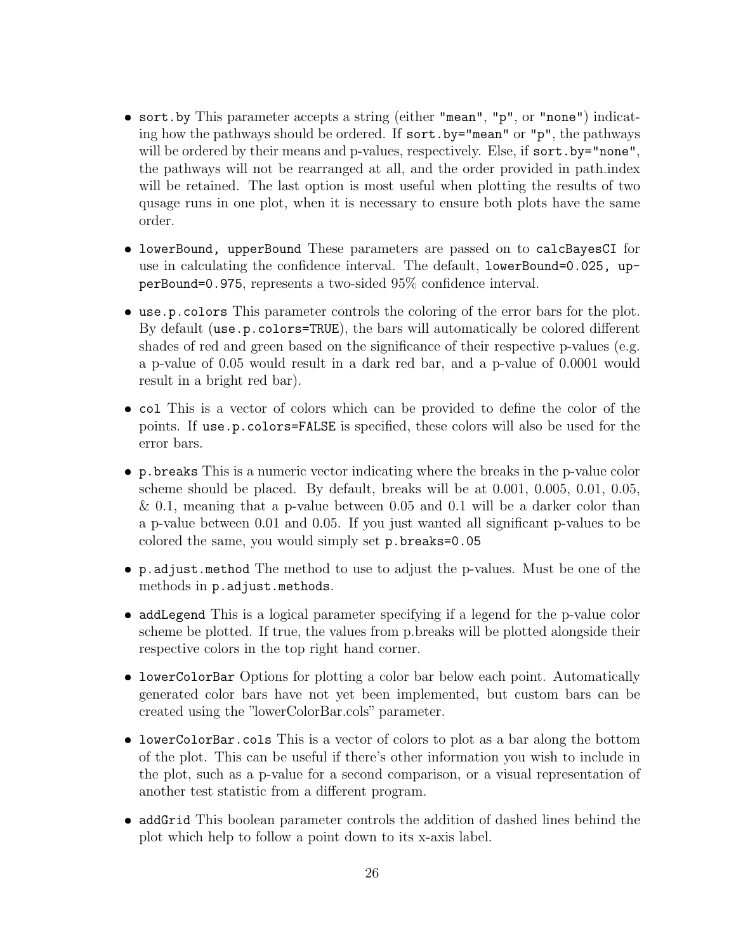- sort.by This parameter accepts a string (either "mean", "p", or "none") indicating how the pathways should be ordered. If sort.by="mean" or "p", the pathways will be ordered by their means and p-values, respectively. Else, if sort.by="none", the pathways will not be rearranged at all, and the order provided in path.index will be retained. The last option is most useful when plotting the results of two qusage runs in one plot, when it is necessary to ensure both plots have the same order.
- lowerBound, upperBound These parameters are passed on to calcBayesCI for use in calculating the confidence interval. The default, lowerBound=0.025, upperBound=0.975, represents a two-sided 95% confidence interval.
- use.p.colors This parameter controls the coloring of the error bars for the plot. By default (use.p.colors=TRUE), the bars will automatically be colored different shades of red and green based on the significance of their respective p-values (e.g. a p-value of 0.05 would result in a dark red bar, and a p-value of 0.0001 would result in a bright red bar).
- col This is a vector of colors which can be provided to define the color of the points. If use.p.colors=FALSE is specified, these colors will also be used for the error bars.
- p.breaks This is a numeric vector indicating where the breaks in the p-value color scheme should be placed. By default, breaks will be at 0.001, 0.005, 0.01, 0.05, & 0.1, meaning that a p-value between 0.05 and 0.1 will be a darker color than a p-value between 0.01 and 0.05. If you just wanted all significant p-values to be colored the same, you would simply set p.breaks=0.05
- p.adjust.method The method to use to adjust the p-values. Must be one of the methods in p.adjust.methods.
- addLegend This is a logical parameter specifying if a legend for the p-value color scheme be plotted. If true, the values from p.breaks will be plotted alongside their respective colors in the top right hand corner.
- lowerColorBar Options for plotting a color bar below each point. Automatically generated color bars have not yet been implemented, but custom bars can be created using the "lowerColorBar.cols" parameter.
- lowerColorBar.cols This is a vector of colors to plot as a bar along the bottom of the plot. This can be useful if there's other information you wish to include in the plot, such as a p-value for a second comparison, or a visual representation of another test statistic from a different program.
- addGrid This boolean parameter controls the addition of dashed lines behind the plot which help to follow a point down to its x-axis label.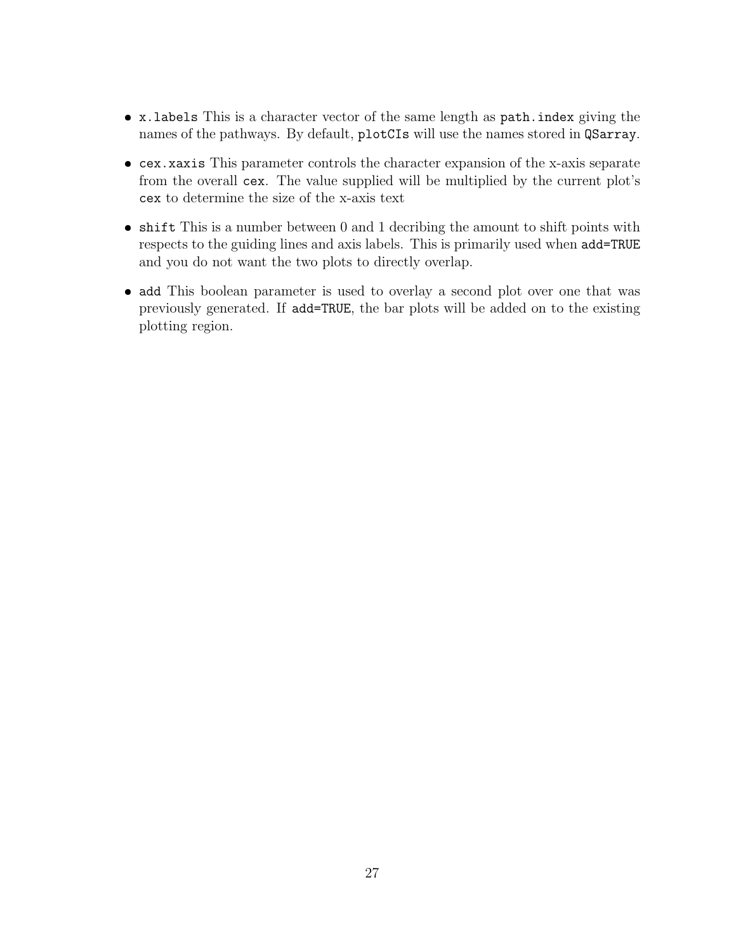- x.labels This is a character vector of the same length as path.index giving the names of the pathways. By default, plotCIs will use the names stored in QSarray.
- cex.xaxis This parameter controls the character expansion of the x-axis separate from the overall cex. The value supplied will be multiplied by the current plot's cex to determine the size of the x-axis text
- shift This is a number between 0 and 1 decribing the amount to shift points with respects to the guiding lines and axis labels. This is primarily used when add=TRUE and you do not want the two plots to directly overlap.
- add This boolean parameter is used to overlay a second plot over one that was previously generated. If add=TRUE, the bar plots will be added on to the existing plotting region.